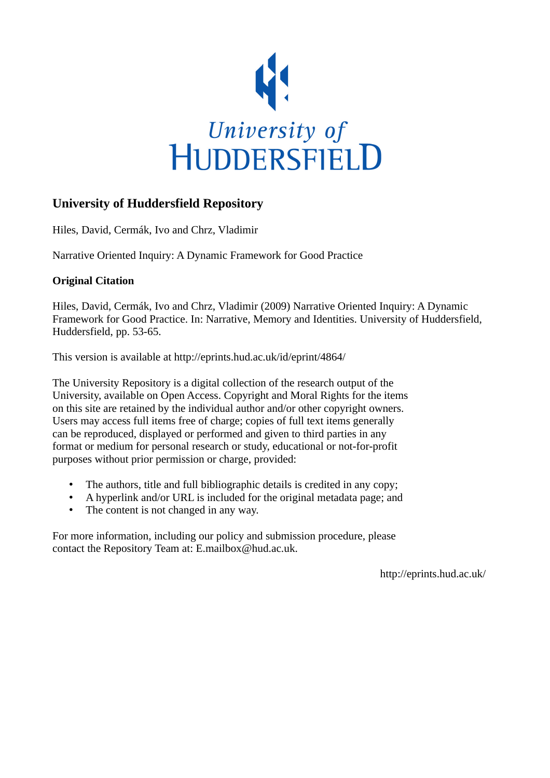

# **University of Huddersfield Repository**

Hiles, David, Cermák, Ivo and Chrz, Vladimir

Narrative Oriented Inquiry: A Dynamic Framework for Good Practice

# **Original Citation**

Hiles, David, Cermák, Ivo and Chrz, Vladimir (2009) Narrative Oriented Inquiry: A Dynamic Framework for Good Practice. In: Narrative, Memory and Identities. University of Huddersfield, Huddersfield, pp. 53-65.

This version is available at http://eprints.hud.ac.uk/id/eprint/4864/

The University Repository is a digital collection of the research output of the University, available on Open Access. Copyright and Moral Rights for the items on this site are retained by the individual author and/or other copyright owners. Users may access full items free of charge; copies of full text items generally can be reproduced, displayed or performed and given to third parties in any format or medium for personal research or study, educational or not-for-profit purposes without prior permission or charge, provided:

- The authors, title and full bibliographic details is credited in any copy;
- A hyperlink and/or URL is included for the original metadata page; and
- The content is not changed in any way.

For more information, including our policy and submission procedure, please contact the Repository Team at: E.mailbox@hud.ac.uk.

http://eprints.hud.ac.uk/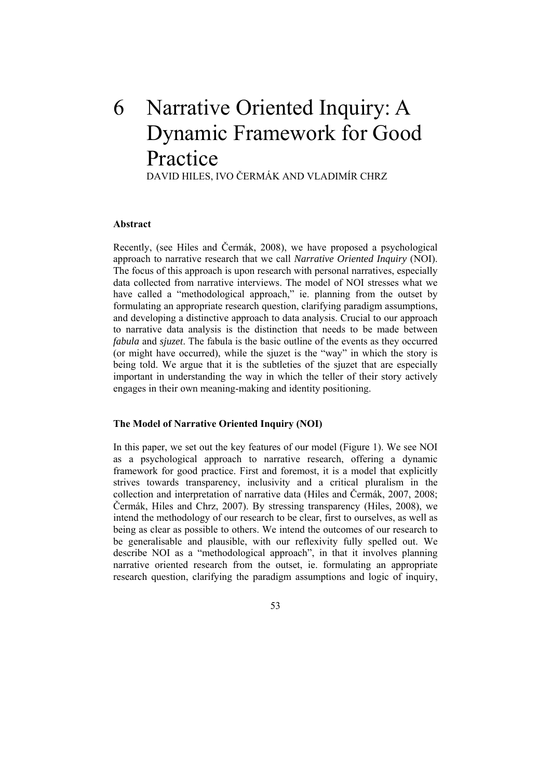# 6 Narrative Oriented Inquiry: A Dynamic Framework for Good Practice

DAVID HILES, IVO ČERMÁK AND VLADIMÍR CHRZ

# Abstract

important in understanding the way in which the teller of their story actively engages in their own meaning-making and identity positioning. Recently, (see Hiles and Čermák, 2008), we have proposed a psychological approach to narrative research that we call *Narrative Oriented Inquiry* (NOI). The focus of this approach is upon research with personal narratives, especially data collected from narrative interviews. The model of NOI stresses what we have called a "methodological approach," ie. planning from the outset by formulating an appropriate research question, clarifying paradigm assumptions, and developing a distinctive approach to data analysis. Crucial to our approach to narrative data analysis is the distinction that needs to be made between *fabula* and *sjuzet*. The fabula is the basic outline of the events as they occurred (or might have occurred), while the sjuzet is the "way" in which the story is being told. We argue that it is the subtleties of the sjuzet that are especially

# **he Model of Narrative Oriented Inquiry (NOI) T**

In this paper, we set out the key features of our model (Figure 1). We see NOI as a psychological approach to narrative research, offering a dynamic framework for good practice. First and foremost, it is a model that explicitly strives towards transparency, inclusivity and a critical pluralism in the collection and interpretation of narrative data (Hiles and Čermák, 2007, 2008; Čermák, Hiles and Chrz, 2007). By stressing transparency (Hiles, 2008), we intend the methodology of our research to be clear, first to ourselves, as well as being as clear as possible to others. We intend the outcomes of our research to be generalisable and plausible, with our reflexivity fully spelled out. We describe NOI as a "methodological approach", in that it involves planning narrative oriented research from the outset, ie. formulating an appropriate research question, clarifying the paradigm assumptions and logic of inquiry,

53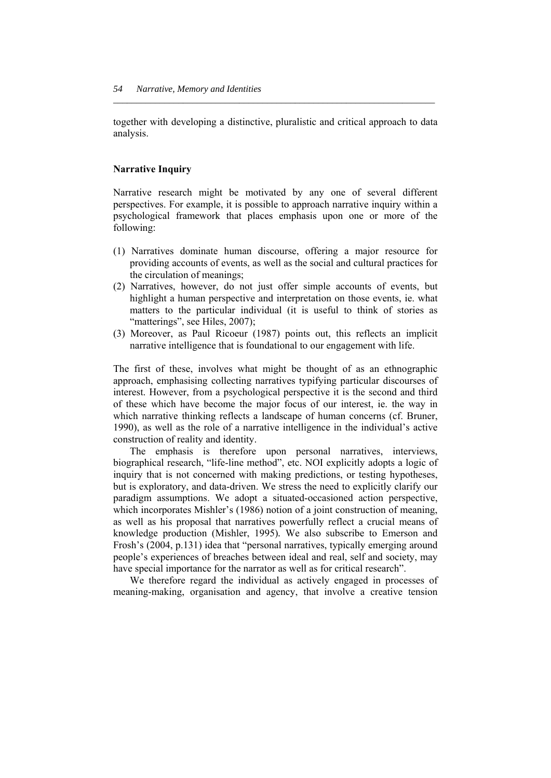together with developing a distinctive, pluralistic and critical approach to data analysis.

*\_\_\_\_\_\_\_\_\_\_\_\_\_\_\_\_\_\_\_\_\_\_\_\_\_\_\_\_\_\_\_\_\_\_\_\_\_\_\_\_\_\_\_\_\_\_\_\_\_\_\_\_\_\_\_\_\_\_\_\_\_\_\_\_\_\_\_\_\_* 

# **Narrative Inquiry**

perspectives. For example, it is possible to approach narrative inquiry within a psychological framework that places emphasis upon one or more of the Narrative research might be motivated by any one of several different following:

- (1) Narratives dominate human discourse, offering a major resource for providing accounts of events, as well as the social and cultural practices for the circulation of meanings;
- (2) Narratives, however, do not just offer simple accounts of events, but highlight a human perspective and interpretation on those events, ie. what matters to the particular individual (it is useful to think of stories as "matterings", see Hiles, 2007);
- ) Moreover, as Paul Ricoeur (1987) points out, this reflects an implicit (3 narrative intelligence that is foundational to our engagement with life.

which narrative thinking reflects a landscape of human concerns (cf. Bruner, The first of these, involves what might be thought of as an ethnographic approach, emphasising collecting narratives typifying particular discourses of interest. However, from a psychological perspective it is the second and third of these which have become the major focus of our interest, ie. the way in 1990), as well as the role of a narrative intelligence in the individual's active construction of reality and identity.

 The emphasis is therefore upon personal narratives, interviews, biographical research, "life-line method", etc. NOI explicitly adopts a logic of inquiry that is not concerned with making predictions, or testing hypotheses, but is exploratory, and data-driven. We stress the need to explicitly clarify our paradigm assumptions. We adopt a situated-occasioned action perspective, which incorporates Mishler's (1986) notion of a joint construction of meaning, as well as his proposal that narratives powerfully reflect a crucial means of knowledge production (Mishler, 1995)*.* We also subscribe to Emerson and Frosh's (2004, p.131) idea that "personal narratives, typically emerging around people's experiences of breaches between ideal and real, self and society, may have special importance for the narrator as well as for critical research".

 We therefore regard the individual as actively engaged in processes of meaning-making, organisation and agency, that involve a creative tension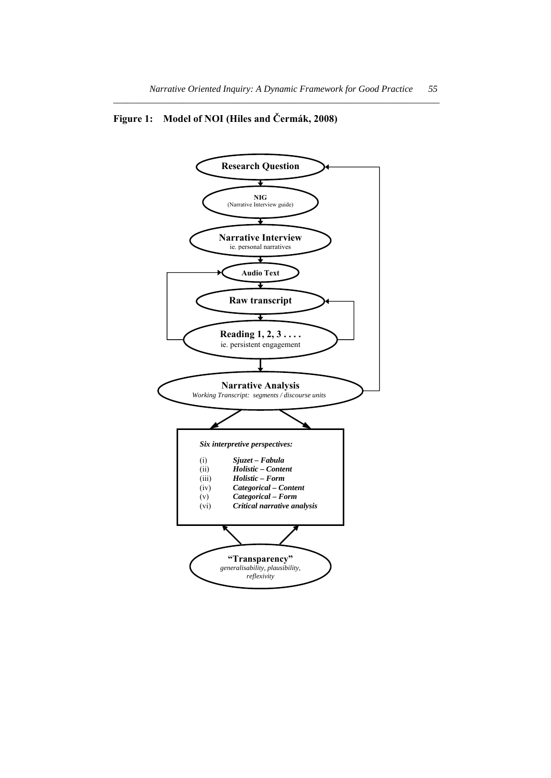# **Figure 1: Model of NOI (Hiles and Čermák, 2008)**

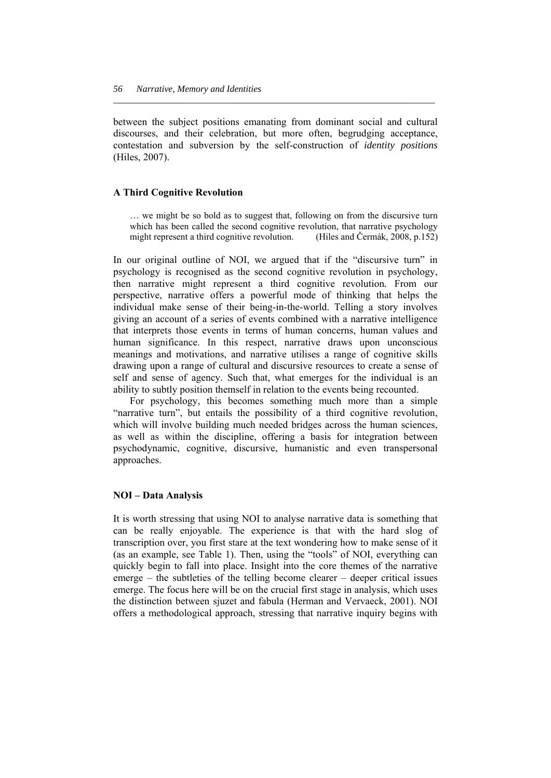between the subject positions emanating from dominant social and cultural discourses, and their celebration, but more often, begrudging acceptance, contestation and subversion by the self-construction of *identity positions* (Hiles, 2007).

*\_\_\_\_\_\_\_\_\_\_\_\_\_\_\_\_\_\_\_\_\_\_\_\_\_\_\_\_\_\_\_\_\_\_\_\_\_\_\_\_\_\_\_\_\_\_\_\_\_\_\_\_\_\_\_\_\_\_\_\_\_\_\_\_\_\_\_\_\_* 

# **A Third Cognitive Revolution**

… we might be so bold as to suggest that, following on from the discursive turn which has been called the second cognitive revolution, that narrative psychology might represent a third cognitive revolution. (Hiles and Čermák, 2008, p.152)

In our original outline of NOI, we argued that if the "discursive turn" in psychology is recognised as the second cognitive revolution in psychology, then narrative might represent a third cognitive revolution*.* From our perspective, narrative offers a powerful mode of thinking that helps the individual make sense of their being-in-the-world. Telling a story involves giving an account of a series of events combined with a narrative intelligence that interprets those events in terms of human concerns, human values and human significance. In this respect, narrative draws upon unconscious meanings and motivations, and narrative utilises a range of cognitive skills drawing upon a range of cultural and discursive resources to create a sense of self and sense of agency. Such that, what emerges for the individual is an ability to subtly position themself in relation to the events being recounted.

 For psychology, this becomes something much more than a simple "narrative turn", but entails the possibility of a third cognitive revolution, which will involve building much needed bridges across the human sciences, as well as within the discipline, offering a basis for integration between psychodynamic, cognitive, discursive, humanistic and even transpersonal approaches.

# **NOI – Data Analysis**

It is worth stressing that using NOI to analyse narrative data is something that can be really enjoyable. The experience is that with the hard slog of transcription over, you first stare at the text wondering how to make sense of it (as an example, see Table 1). Then, using the "tools" of NOI, everything can quickly begin to fall into place. Insight into the core themes of the narrative emerge – the subtleties of the telling become clearer – deeper critical issues emerge. The focus here will be on the crucial first stage in analysis, which uses the distinction between sjuzet and fabula (Herman and Vervaeck, 2001). NOI offers a methodological approach, stressing that narrative inquiry begins with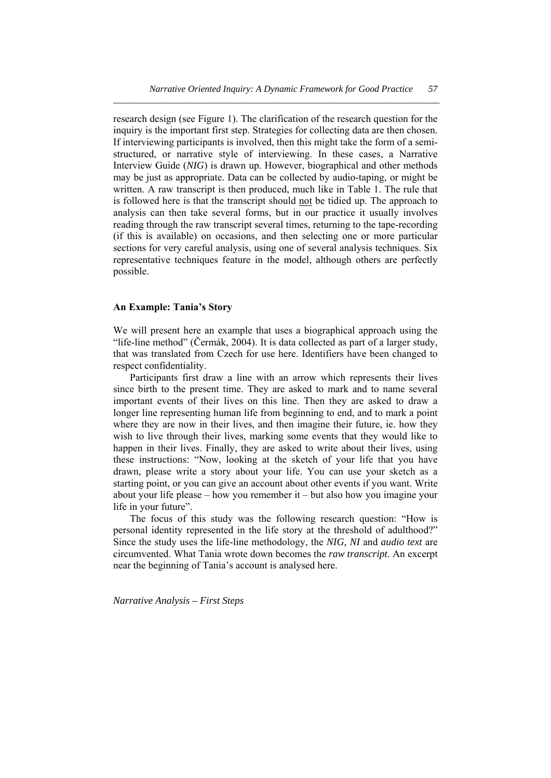research design (see Figure 1). The clarification of the research question for the inquiry is the important first step. Strategies for collecting data are then chosen. If interviewing participants is involved, then this might take the form of a semistructured, or narrative style of interviewing. In these cases, a Narrative Interview Guide (*NIG*) is drawn up. However, biographical and other methods may be just as appropriate. Data can be collected by audio-taping, or might be written. A raw transcript is then produced, much like in Table 1. The rule that is followed here is that the transcript should not be tidied up. The approach to analysis can then take several forms, but in our practice it usually involves reading through the raw transcript several times, returning to the tape-recording (if this is available) on occasions, and then selecting one or more particular sections for very careful analysis, using one of several analysis techniques. Six representative techniques feature in the model, although others are perfectly possible.

# **An Example: Tania's Story**

We will present here an example that uses a biographical approach using the "life-line method" (Čermák, 2004). It is data collected as part of a larger study, that was translated from Czech for use here. Identifiers have been changed to respect confidentiality.

 Participants first draw a line with an arrow which represents their lives since birth to the present time. They are asked to mark and to name several important events of their lives on this line. Then they are asked to draw a longer line representing human life from beginning to end, and to mark a point where they are now in their lives, and then imagine their future, ie. how they wish to live through their lives, marking some events that they would like to happen in their lives. Finally, they are asked to write about their lives, using these instructions: "Now, looking at the sketch of your life that you have drawn, please write a story about your life. You can use your sketch as a starting point, or you can give an account about other events if you want. Write about your life please – how you remember it – but also how you imagine your life in your future".

 The focus of this study was the following research question: "How is personal identity represented in the life story at the threshold of adulthood?" Since the study uses the life-line methodology, the *NIG, NI* and *audio text* are circumvented. What Tania wrote down becomes the *raw transcript*. An excerpt near the beginning of Tania's account is analysed here.

*Narrative Analysis – First Steps*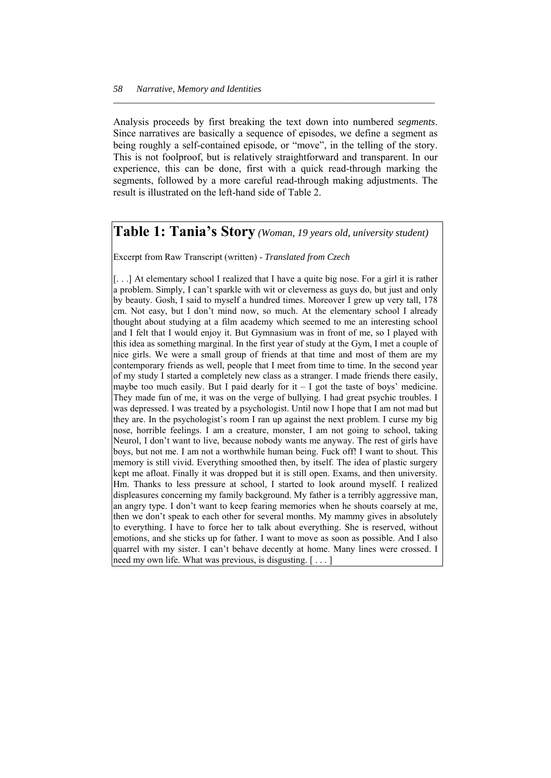Analysis proceeds by first breaking the text down into numbered *segments*. Since narratives are basically a sequence of episodes, we define a segment as being roughly a self-contained episode, or "move", in the telling of the story. This is not foolproof, but is relatively straightforward and transparent. In our experience, this can be done, first with a quick read-through marking the segments, followed by a more careful read-through making adjustments. The result is illustrated on the left-hand side of Table 2.

*\_\_\_\_\_\_\_\_\_\_\_\_\_\_\_\_\_\_\_\_\_\_\_\_\_\_\_\_\_\_\_\_\_\_\_\_\_\_\_\_\_\_\_\_\_\_\_\_\_\_\_\_\_\_\_\_\_\_\_\_\_\_\_\_\_\_\_\_\_* 

# **Table 1: Tania's Story** *(Woman, 19 years old, university student)*

Excerpt from Raw Transcript (written) - *Translated from Czech* 

 $\vert$ ...  $\vert$  At elementary school I realized that I have a quite big nose. For a girl it is rather a problem. Simply, I can't sparkle with wit or cleverness as guys do, but just and only by beauty. Gosh, I said to myself a hundred times. Moreover I grew up very tall, 178 cm. Not easy, but I don't mind now, so much. At the elementary school I already thought about studying at a film academy which seemed to me an interesting school and I felt that I would enjoy it. But Gymnasium was in front of me, so I played with this idea as something marginal. In the first year of study at the Gym, I met a couple of nice girls. We were a small group of friends at that time and most of them are my contemporary friends as well, people that I meet from time to time. In the second year of my study I started a completely new class as a stranger. I made friends there easily, maybe too much easily. But I paid dearly for  $it - I$  got the taste of boys' medicine. They made fun of me, it was on the verge of bullying. I had great psychic troubles. I was depressed. I was treated by a psychologist. Until now I hope that I am not mad but they are. In the psychologist's room I ran up against the next problem. I curse my big nose, horrible feelings. I am a creature, monster, I am not going to school, taking Neurol, I don't want to live, because nobody wants me anyway. The rest of girls have boys, but not me. I am not a worthwhile human being. Fuck off! I want to shout. This memory is still vivid. Everything smoothed then, by itself. The idea of plastic surgery kept me afloat. Finally it was dropped but it is still open. Exams, and then university. Hm. Thanks to less pressure at school, I started to look around myself. I realized displeasures concerning my family background. My father is a terribly aggressive man, an angry type. I don't want to keep fearing memories when he shouts coarsely at me, then we don't speak to each other for several months. My mammy gives in absolutely to everything. I have to force her to talk about everything. She is reserved, without emotions, and she sticks up for father. I want to move as soon as possible. And I also quarrel with my sister. I can't behave decently at home. Many lines were crossed. I need my own life. What was previous, is disgusting. [ . . . ]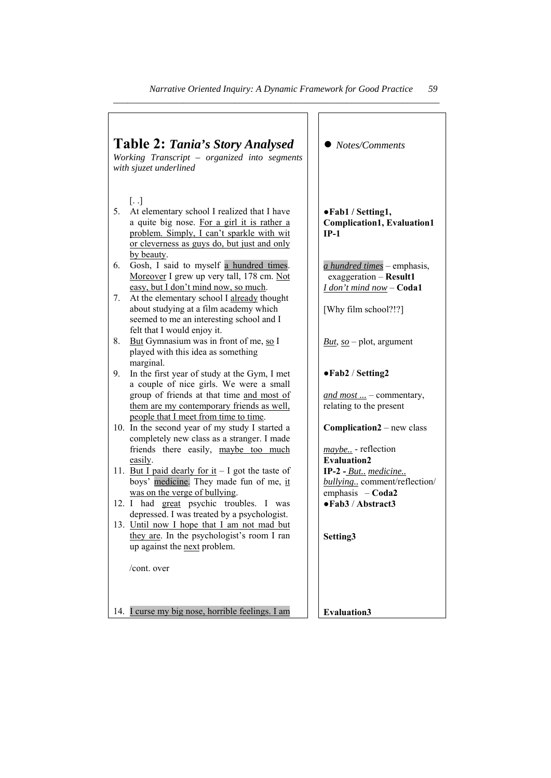| <b>Table 2: Tania's Story Analysed</b><br>Working Transcript - organized into segments<br>with sjuzet underlined |                                                                                                                                                                                                                                 | Notes/Comments                                                                    |
|------------------------------------------------------------------------------------------------------------------|---------------------------------------------------------------------------------------------------------------------------------------------------------------------------------------------------------------------------------|-----------------------------------------------------------------------------------|
| 5.                                                                                                               | $\left[ \ldots \right]$<br>At elementary school I realized that I have<br>a quite big nose. For a girl it is rather a<br>problem. Simply, I can't sparkle with wit<br>or cleverness as guys do, but just and only<br>by beauty. | ●Fab1 / Setting1,<br><b>Complication1, Evaluation1</b><br>$IP-1$                  |
| 6.                                                                                                               | Gosh, I said to myself a hundred times.<br>Moreover I grew up very tall, 178 cm. Not<br>easy, but I don't mind now, so much.                                                                                                    | a hundred times - emphasis,<br>exaggeration - Result1<br>I don't mind now - Coda1 |
| 7.                                                                                                               | At the elementary school I already thought<br>about studying at a film academy which<br>seemed to me an interesting school and I<br>felt that I would enjoy it.                                                                 | [Why film school?!?]                                                              |
| 8.                                                                                                               | But Gymnasium was in front of me, so I<br>played with this idea as something<br>marginal.                                                                                                                                       | $But, so – plot, argument$                                                        |
| 9.                                                                                                               | In the first year of study at the Gym, I met<br>a couple of nice girls. We were a small                                                                                                                                         | •Fab2 / Setting2                                                                  |
|                                                                                                                  | group of friends at that time and most of<br>them are my contemporary friends as well.<br>people that I meet from time to time.                                                                                                 | and most $\ldots$ – commentary,<br>relating to the present                        |
|                                                                                                                  | 10. In the second year of my study I started a<br>completely new class as a stranger. I made<br>friends there easily, maybe too much                                                                                            | <b>Complication2</b> – new class<br><i>maybe</i> - reflection                     |
|                                                                                                                  | easily.                                                                                                                                                                                                                         | <b>Evaluation2</b>                                                                |
|                                                                                                                  | 11. But I paid dearly for it $-1$ got the taste of<br>boys' medicine. They made fun of me, it                                                                                                                                   | IP-2 - But., medicine<br>bullying comment/reflection/                             |
|                                                                                                                  | was on the verge of bullying.<br>12. I had great psychic troubles. I was<br>depressed. I was treated by a psychologist.                                                                                                         | emphasis $-Coda2$<br>• Fab3 / Abstract3                                           |
|                                                                                                                  | 13. Until now I hope that I am not mad but                                                                                                                                                                                      |                                                                                   |
|                                                                                                                  | they are. In the psychologist's room I ran<br>up against the next problem.                                                                                                                                                      | Setting3                                                                          |
|                                                                                                                  | /cont. over                                                                                                                                                                                                                     |                                                                                   |
|                                                                                                                  | 14. Leurse my big nose, horrible feelings. I am                                                                                                                                                                                 | <b>Evaluation3</b>                                                                |
|                                                                                                                  |                                                                                                                                                                                                                                 |                                                                                   |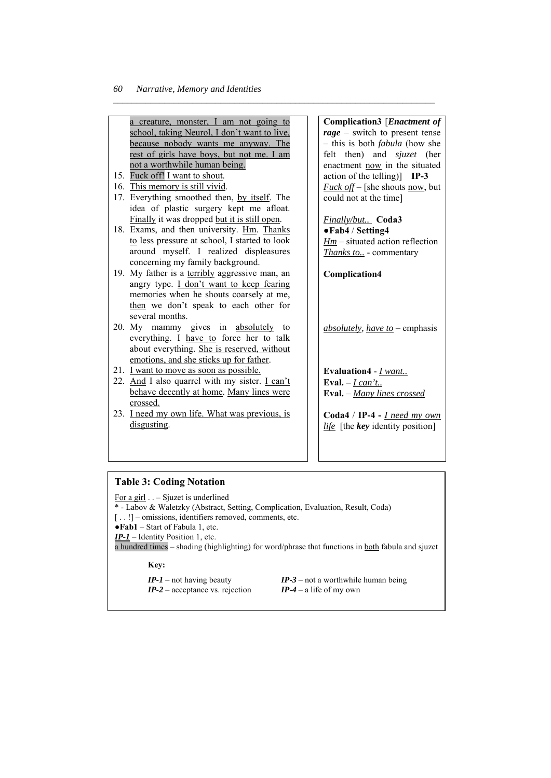a creature, monster, I am not going to school, taking Neurol, I don't want to live, because nobody wants me anyway. The rest of girls have boys, but not me. I am not a worthwhile human being.

*\_\_\_\_\_\_\_\_\_\_\_\_\_\_\_\_\_\_\_\_\_\_\_\_\_\_\_\_\_\_\_\_\_\_\_\_\_\_\_\_\_\_\_\_\_\_\_\_\_\_\_\_\_\_\_\_\_\_\_\_\_\_\_\_\_\_\_\_\_* 

- 15. Fuck off! I want to shout.
- 16. This memory is still vivid.
- 17. Everything smoothed then, by itself. The idea of plastic surgery kept me afloat. Finally it was dropped but it is still open.
- 18. Exams, and then university. Hm. Thanks to less pressure at school, I started to look around myself. I realized displeasures concerning my family background.
- 19. My father is a terribly aggressive man, an angry type. I don't want to keep fearing memories when he shouts coarsely at me, then we don't speak to each other for several months.
- 20. My mammy gives in absolutely to everything. I have to force her to talk about everything. She is reserved, without emotions, and she sticks up for father.
- 21. I want to move as soon as possible.
- 22. And I also quarrel with my sister. I can't behave decently at home. Many lines were crossed.
- 23. I need my own life. What was previous, is disgusting.

**Complication3** [*Enactment of rage* – switch to present tense – this is both *fabula* (how she felt then) and *sjuzet* (her enactment now in the situated action of the telling)] **IP-3**  *Fuck off* – [she shouts <u>now</u>, but could not at the time]

*Finally/but..* **Coda3** ●**Fab4** / **Setting4**  *Hm* – situated action reflection *Thanks to..* - commentary

**Complication4** 

*absolutely, have to* – emphasis

**Evaluation4** - *I want..* **Eval.** *– I can't..* **Eval.** – *Many lines crossed*

**Coda4** / **IP-4 -** *I need my own life* [the *key* identity position]

# **Table 3: Coding Notation**

For a girl . . – Sjuzet is underlined

- \* Labov & Waletzky (Abstract, Setting, Complication, Evaluation, Result, Coda)
- [ . . !] omissions, identifiers removed, comments, etc.

●**Fab1** – Start of Fabula 1, etc.

*IP-1* – Identity Position 1, etc.

a hundred times – shading (highlighting) for word/phrase that functions in both fabula and sjuzet

**Key:**

- 
- *IP-2* acceptance vs. rejection *IP-4* a life of my own

*IP-1* – not having beauty *IP-3* – not a worthwhile human being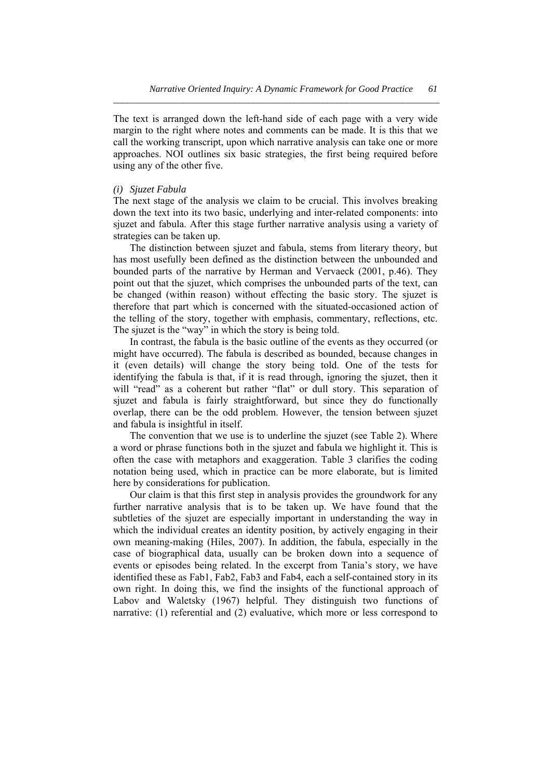The text is arranged down the left-hand side of each page with a very wide margin to the right where notes and comments can be made. It is this that we call the working transcript, upon which narrative analysis can take one or more approaches. NOI outlines six basic strategies, the first being required before using any of the other five.

*\_\_\_\_\_\_\_\_\_\_\_\_\_\_\_\_\_\_\_\_\_\_\_\_\_\_\_\_\_\_\_\_\_\_\_\_\_\_\_\_\_\_\_\_\_\_\_\_\_\_\_\_\_\_\_\_\_\_\_\_\_\_\_\_\_\_\_\_\_\_* 

# *(i) Sjuzet Fabula*

The next stage of the analysis we claim to be crucial. This involves breaking down the text into its two basic, underlying and inter-related components: into sjuzet and fabula. After this stage further narrative analysis using a variety of strategies can be taken up.

 The distinction between sjuzet and fabula, stems from literary theory, but has most usefully been defined as the distinction between the unbounded and bounded parts of the narrative by Herman and Vervaeck (2001, p.46). They point out that the sjuzet, which comprises the unbounded parts of the text, can be changed (within reason) without effecting the basic story. The sjuzet is therefore that part which is concerned with the situated-occasioned action of the telling of the story, together with emphasis, commentary, reflections, etc. The sjuzet is the "way" in which the story is being told.

 In contrast, the fabula is the basic outline of the events as they occurred (or might have occurred). The fabula is described as bounded, because changes in it (even details) will change the story being told. One of the tests for identifying the fabula is that, if it is read through, ignoring the sjuzet, then it will "read" as a coherent but rather "flat" or dull story. This separation of sjuzet and fabula is fairly straightforward, but since they do functionally overlap, there can be the odd problem. However, the tension between sjuzet and fabula is insightful in itself.

 The convention that we use is to underline the sjuzet (see Table 2). Where a word or phrase functions both in the sjuzet and fabula we highlight it. This is often the case with metaphors and exaggeration. Table 3 clarifies the coding notation being used, which in practice can be more elaborate, but is limited here by considerations for publication.

 Our claim is that this first step in analysis provides the groundwork for any further narrative analysis that is to be taken up. We have found that the subtleties of the sjuzet are especially important in understanding the way in which the individual creates an identity position, by actively engaging in their own meaning-making (Hiles, 2007). In addition, the fabula, especially in the case of biographical data, usually can be broken down into a sequence of events or episodes being related. In the excerpt from Tania's story, we have identified these as Fab1, Fab2, Fab3 and Fab4, each a self-contained story in its own right. In doing this, we find the insights of the functional approach of Labov and Waletsky (1967) helpful. They distinguish two functions of narrative: (1) referential and (2) evaluative, which more or less correspond to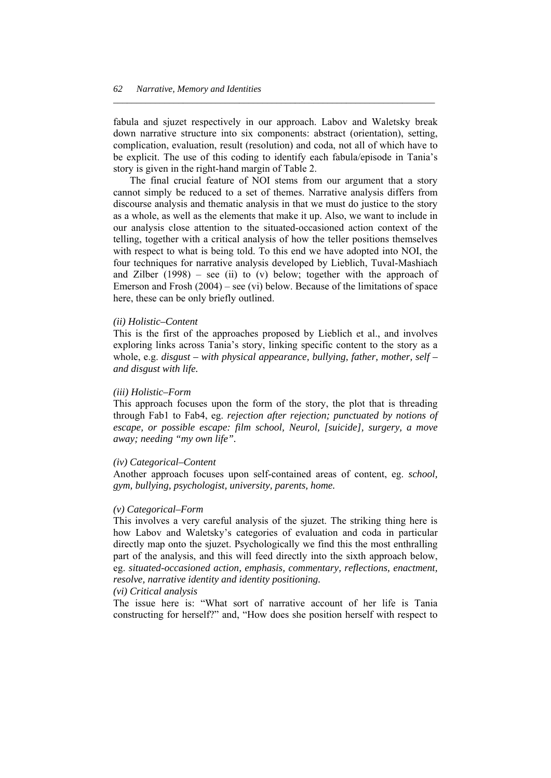fabula and sjuzet respectively in our approach. Labov and Waletsky break down narrative structure into six components: abstract (orientation), setting, complication, evaluation, result (resolution) and coda, not all of which have to be explicit. The use of this coding to identify each fabula/episode in Tania's story is given in the right-hand margin of Table 2.

*\_\_\_\_\_\_\_\_\_\_\_\_\_\_\_\_\_\_\_\_\_\_\_\_\_\_\_\_\_\_\_\_\_\_\_\_\_\_\_\_\_\_\_\_\_\_\_\_\_\_\_\_\_\_\_\_\_\_\_\_\_\_\_\_\_\_\_\_\_* 

 The final crucial feature of NOI stems from our argument that a story cannot simply be reduced to a set of themes. Narrative analysis differs from discourse analysis and thematic analysis in that we must do justice to the story as a whole, as well as the elements that make it up. Also, we want to include in our analysis close attention to the situated-occasioned action context of the telling, together with a critical analysis of how the teller positions themselves with respect to what is being told. To this end we have adopted into NOI, the four techniques for narrative analysis developed by Lieblich, Tuval-Mashiach and Zilber  $(1998)$  – see (ii) to (v) below; together with the approach of Emerson and Frosh (2004) – see (vi) below. Because of the limitations of space here, these can be only briefly outlined.

## *(ii) Holistic–Content*

This is the first of the approaches proposed by Lieblich et al., and involves exploring links across Tania's story, linking specific content to the story as a whole, e.g. *disgust* – with physical appearance, bullying, father, mother, self – *and disgust with life.* 

## *(iii) Holistic–Form*

This approach focuses upon the form of the story, the plot that is threading through Fab1 to Fab4, eg. *rejection after rejection; punctuated by notions of escape, or possible escape: film school, Neurol, [suicide], surgery, a move away; needing "my own life".* 

## *(iv) Categorical–Content*

Another approach focuses upon self-contained areas of content, eg. *school, gym, bullying, psychologist, university, parents, home.* 

#### *(v) Categorical–Form*

This involves a very careful analysis of the sjuzet. The striking thing here is how Labov and Waletsky's categories of evaluation and coda in particular directly map onto the sjuzet. Psychologically we find this the most enthralling part of the analysis, and this will feed directly into the sixth approach below, eg. *situated-occasioned action, emphasis, commentary, reflections, enactment, resolve, narrative identity and identity positioning.* 

# *(vi) Critical analysis*

The issue here is: "What sort of narrative account of her life is Tania constructing for herself?" and, "How does she position herself with respect to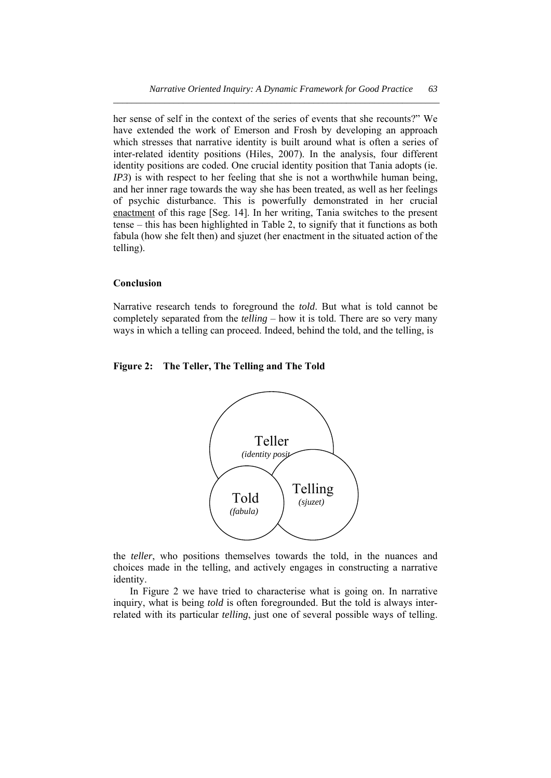her sense of self in the context of the series of events that she recounts?" We have extended the work of Emerson and Frosh by developing an approach which stresses that narrative identity is built around what is often a series of inter-related identity positions (Hiles, 2007). In the analysis, four different identity positions are coded. One crucial identity position that Tania adopts (ie. *IP3*) is with respect to her feeling that she is not a worthwhile human being, and her inner rage towards the way she has been treated, as well as her feelings of psychic disturbance. This is powerfully demonstrated in her crucial enactment of this rage [Seg. 14]. In her writing, Tania switches to the present tense – this has been highlighted in Table 2, to signify that it functions as both fabula (how she felt then) and sjuzet (her enactment in the situated action of the telling).

## **Conclusion**

Narrative research tends to foreground the *told*. But what is told cannot be completely separated from the *telling* – how it is told. There are so very many ways in which a telling can proceed. Indeed, behind the told, and the telling, is

# **Figure 2: The Teller, The Telling and The Told**



the *teller*, who positions themselves towards the told, in the nuances and choices made in the telling, and actively engages in constructing a narrative identity.

 In Figure 2 we have tried to characterise what is going on. In narrative inquiry, what is being *told* is often foregrounded. But the told is always interrelated with its particular *telling*, just one of several possible ways of telling.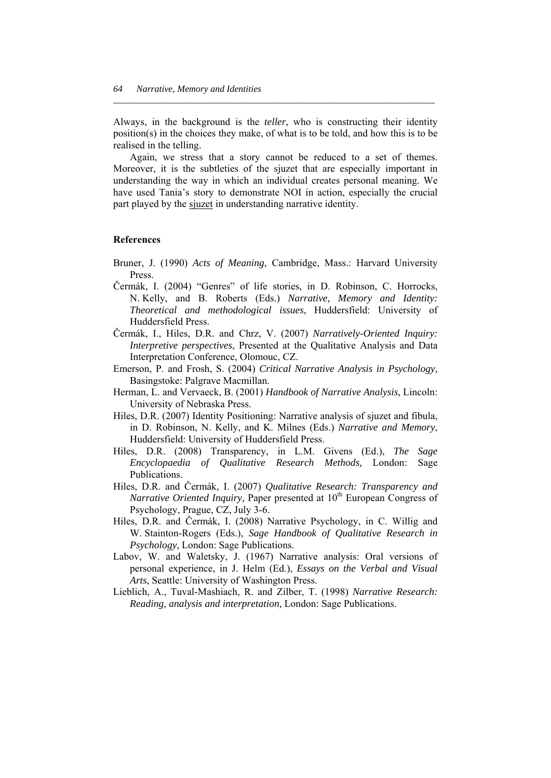Always, in the background is the *teller*, who is constructing their identity position(s) in the choices they make, of what is to be told, and how this is to be realised in the telling.

*\_\_\_\_\_\_\_\_\_\_\_\_\_\_\_\_\_\_\_\_\_\_\_\_\_\_\_\_\_\_\_\_\_\_\_\_\_\_\_\_\_\_\_\_\_\_\_\_\_\_\_\_\_\_\_\_\_\_\_\_\_\_\_\_\_\_\_\_\_* 

 Again, we stress that a story cannot be reduced to a set of themes. Moreover, it is the subtleties of the sjuzet that are especially important in understanding the way in which an individual creates personal meaning. We have used Tania's story to demonstrate NOI in action, especially the crucial part played by the sjuzet in understanding narrative identity.

# **References**

- Bruner, J. (1990) *Acts of Meaning*, Cambridge, Mass.: Harvard University Press.
- Čermák, I. (2004) "Genres" of life stories, in D. Robinson, C. Horrocks, N. Kelly, and B. Roberts (Eds.) *Narrative, Memory and Identity: Theoretical and methodological issues*, Huddersfield: University of Huddersfield Press.
- Čermák, I., Hiles, D.R. and Chrz, V. (2007) *Narratively-Oriented Inquiry: Interpretive perspectives*, Presented at the Qualitative Analysis and Data Interpretation Conference, Olomouc, CZ.
- Emerson, P. and Frosh, S. (2004) *Critical Narrative Analysis in Psychology*, Basingstoke: Palgrave Macmillan.
- Herman, L. and Vervaeck, B. (2001) *Handbook of Narrative Analysis*, Lincoln: University of Nebraska Press.
- Hiles, D.R. (2007) Identity Positioning: Narrative analysis of sjuzet and fibula, in D. Robinson, N. Kelly, and K. Milnes (Eds.) *Narrative and Memory*, Huddersfield: University of Huddersfield Press.
- Hiles, D.R. (2008) Transparency, in L.M. Givens (Ed.), *The Sage Encyclopaedia of Qualitative Research Methods,* London: Sage Publications.
- Hiles, D.R. and Čermák, I. (2007) *Qualitative Research: Transparency and Narrative Oriented Inquiry, Paper presented at 10<sup>th</sup> European Congress of* Psychology, Prague, CZ, July 3-6.
- Hiles, D.R. and Čermák, I. (2008) Narrative Psychology, in C. Willig and W. Stainton-Rogers (Eds.), *Sage Handbook of Qualitative Research in Psychology*, London: Sage Publications.
- Labov, W. and Waletsky, J. (1967) Narrative analysis: Oral versions of personal experience, in J. Helm (Ed.), *Essays on the Verbal and Visual Arts*, Seattle: University of Washington Press.
- Lieblich, A., Tuval-Mashiach, R. and Zilber, T. (1998) *Narrative Research: Reading, analysis and interpretation,* London: Sage Publications.